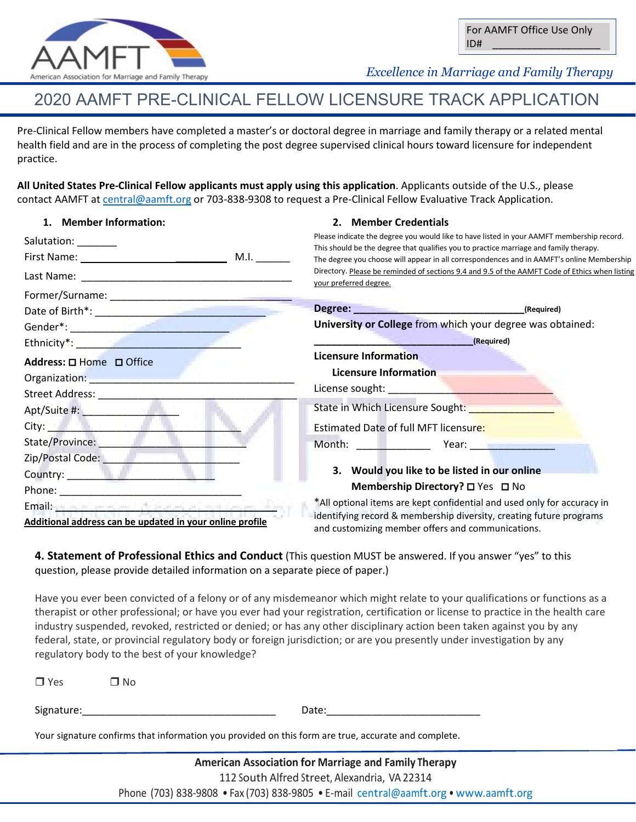

For AAMFT Office Use Only ID# \_\_\_\_\_\_\_\_\_\_\_\_\_\_\_\_\_\_\_

 *Excellence in Marriage and Family Therapy*

# 2020 AAMFT PRE-CLINICAL FELLOW LICENSURE TRACK APPLICATION

Pre-Clinical Fellow members have completed a master's or doctoral degree in marriage and family therapy or a related mental health field and are in the process of completing the post degree supervised clinical hours toward licensure for independent practice.

**2. Member Credentials**

**All United States Pre-Clinical Fellow applicants must apply using this application**. Applicants outside of the U.S., please contact AAMFT at [central@aamft.org](mailto:central@aamft.org) or 703-838-9308 to request a Pre-Clinical Fellow Evaluative Track Application.

### **1. Member Information:**

| Salutation: _______                                                                                            | Please indicate the degree you would like to have listed in your AAMFT membership record.                                                                                          |  |  |
|----------------------------------------------------------------------------------------------------------------|------------------------------------------------------------------------------------------------------------------------------------------------------------------------------------|--|--|
|                                                                                                                | This should be the degree that qualifies you to practice marriage and family therapy.<br>The degree you choose will appear in all correspondences and in AAMFT's online Membership |  |  |
|                                                                                                                | Directory. Please be reminded of sections 9.4 and 9.5 of the AAMFT Code of Ethics when listing<br>your preferred degree.                                                           |  |  |
|                                                                                                                |                                                                                                                                                                                    |  |  |
| Date of Birth*: New York Park and Date of Birth*:                                                              |                                                                                                                                                                                    |  |  |
|                                                                                                                | University or College from which your degree was obtained:                                                                                                                         |  |  |
|                                                                                                                | (Required)                                                                                                                                                                         |  |  |
| Address: □ Home □ Office                                                                                       | <b>Licensure Information</b><br>Licensure Information                                                                                                                              |  |  |
| Organization: New York Street, New York Street, New York Street, New York Street, New York Street, New York St |                                                                                                                                                                                    |  |  |
| Street Address: _______________                                                                                |                                                                                                                                                                                    |  |  |
|                                                                                                                | State in Which Licensure Sought: National Contract of the State of Tennes                                                                                                          |  |  |
| City: <b>City: City: City: City:</b>                                                                           | Estimated Date of full MFT licensure:                                                                                                                                              |  |  |
| State/Province:                                                                                                | Month: 1990 - Month: 2001 - Month: 2002 - Month: 2002 - 2003 - 2014 - 2016 - 2017 - 2018 - 2019 - 2019 - 2019                                                                      |  |  |
| Zip/Postal Code: New York 2014                                                                                 |                                                                                                                                                                                    |  |  |
| Country: <b>Example 2018</b>                                                                                   | 3. Would you like to be listed in our online                                                                                                                                       |  |  |
|                                                                                                                | Membership Directory? □ Yes □ No                                                                                                                                                   |  |  |
|                                                                                                                | *All optional items are kept confidential and used only for accuracy in                                                                                                            |  |  |
| Additional address can be updated in your online profile                                                       | identifying record & membership diversity, creating future programs<br>and customizing member offers and communications.                                                           |  |  |

**4. Statement of Professional Ethics and Conduct** (This question MUST be answered. If you answer "yes" to this question, please provide detailed information on a separate piece of paper.)

Have you ever been convicted of a felony or of any misdemeanor which might relate to your qualifications or functions as a therapist or other professional; or have you ever had your registration, certification or license to practice in the health care industry suspended, revoked, restricted or denied; or has any other disciplinary action been taken against you by any federal, state, or provincial regulatory body or foreign jurisdiction; or are you presently under investigation by any regulatory body to the best of your knowledge?

| $\Box$ Yes                                                                                          | ⊟ No |       |  |  |
|-----------------------------------------------------------------------------------------------------|------|-------|--|--|
| Signature:                                                                                          |      | Date: |  |  |
| Your signature confirms that information you provided on this form are true, accurate and complete. |      |       |  |  |

**American Association for Marriage and Family Therapy** 112 South Alfred Street, Alexandria, VA 22314 Phone (703) 838-9808 • Fax (703) 838-9805 • E-mail [central@aamft.org](mailto:central@aamft.org) • [www.aamft.org](http://www.aamft.org/)